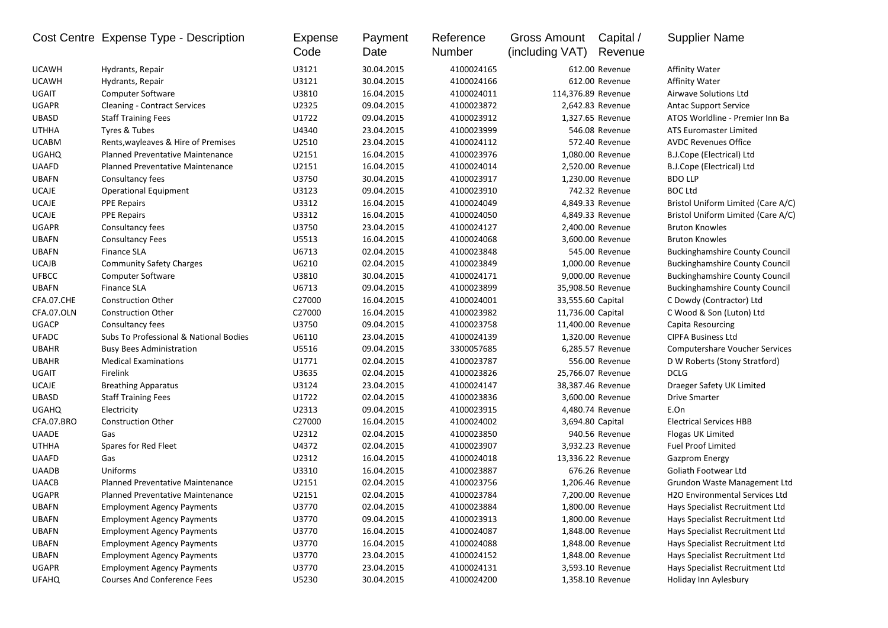|              | Cost Centre Expense Type - Description  | Expense<br>Code | Payment<br>Date | Reference<br>Number | Gross Amount<br>(including VAT) | Capital /<br>Revenue | <b>Supplier Name</b>                  |
|--------------|-----------------------------------------|-----------------|-----------------|---------------------|---------------------------------|----------------------|---------------------------------------|
| <b>UCAWH</b> | Hydrants, Repair                        | U3121           | 30.04.2015      | 4100024165          |                                 | 612.00 Revenue       | <b>Affinity Water</b>                 |
| <b>UCAWH</b> | Hydrants, Repair                        | U3121           | 30.04.2015      | 4100024166          |                                 | 612.00 Revenue       | <b>Affinity Water</b>                 |
| UGAIT        | <b>Computer Software</b>                | U3810           | 16.04.2015      | 4100024011          | 114,376.89 Revenue              |                      | Airwave Solutions Ltd                 |
| <b>UGAPR</b> | <b>Cleaning - Contract Services</b>     | U2325           | 09.04.2015      | 4100023872          |                                 | 2,642.83 Revenue     | <b>Antac Support Service</b>          |
| <b>UBASD</b> | <b>Staff Training Fees</b>              | U1722           | 09.04.2015      | 4100023912          |                                 | 1,327.65 Revenue     | ATOS Worldline - Premier Inn Ba       |
| <b>UTHHA</b> | Tyres & Tubes                           | U4340           | 23.04.2015      | 4100023999          |                                 | 546.08 Revenue       | ATS Euromaster Limited                |
| <b>UCABM</b> | Rents, wayleaves & Hire of Premises     | U2510           | 23.04.2015      | 4100024112          |                                 | 572.40 Revenue       | <b>AVDC Revenues Office</b>           |
| <b>UGAHQ</b> | <b>Planned Preventative Maintenance</b> | U2151           | 16.04.2015      | 4100023976          |                                 | 1,080.00 Revenue     | B.J.Cope (Electrical) Ltd             |
| <b>UAAFD</b> | <b>Planned Preventative Maintenance</b> | U2151           | 16.04.2015      | 4100024014          |                                 | 2,520.00 Revenue     | <b>B.J.Cope (Electrical) Ltd</b>      |
| <b>UBAFN</b> | Consultancy fees                        | U3750           | 30.04.2015      | 4100023917          |                                 | 1,230.00 Revenue     | <b>BDO LLP</b>                        |
| <b>UCAJE</b> | <b>Operational Equipment</b>            | U3123           | 09.04.2015      | 4100023910          |                                 | 742.32 Revenue       | <b>BOC Ltd</b>                        |
| <b>UCAJE</b> | <b>PPE Repairs</b>                      | U3312           | 16.04.2015      | 4100024049          |                                 | 4,849.33 Revenue     | Bristol Uniform Limited (Care A/C)    |
| <b>UCAJE</b> | <b>PPE Repairs</b>                      | U3312           | 16.04.2015      | 4100024050          |                                 | 4,849.33 Revenue     | Bristol Uniform Limited (Care A/C)    |
| <b>UGAPR</b> | Consultancy fees                        | U3750           | 23.04.2015      | 4100024127          |                                 | 2,400.00 Revenue     | <b>Bruton Knowles</b>                 |
| <b>UBAFN</b> | <b>Consultancy Fees</b>                 | U5513           | 16.04.2015      | 4100024068          |                                 | 3,600.00 Revenue     | <b>Bruton Knowles</b>                 |
| <b>UBAFN</b> | <b>Finance SLA</b>                      | U6713           | 02.04.2015      | 4100023848          |                                 | 545.00 Revenue       | <b>Buckinghamshire County Council</b> |
| <b>UCAJB</b> | <b>Community Safety Charges</b>         | U6210           | 02.04.2015      | 4100023849          |                                 | 1,000.00 Revenue     | <b>Buckinghamshire County Council</b> |
| <b>UFBCC</b> | <b>Computer Software</b>                | U3810           | 30.04.2015      | 4100024171          |                                 | 9,000.00 Revenue     | <b>Buckinghamshire County Council</b> |
| <b>UBAFN</b> | <b>Finance SLA</b>                      | U6713           | 09.04.2015      | 4100023899          |                                 | 35,908.50 Revenue    | <b>Buckinghamshire County Council</b> |
| CFA.07.CHE   | <b>Construction Other</b>               | C27000          | 16.04.2015      | 4100024001          | 33,555.60 Capital               |                      | C Dowdy (Contractor) Ltd              |
| CFA.07.OLN   | <b>Construction Other</b>               | C27000          | 16.04.2015      | 4100023982          | 11,736.00 Capital               |                      | C Wood & Son (Luton) Ltd              |
| <b>UGACP</b> | Consultancy fees                        | U3750           | 09.04.2015      | 4100023758          |                                 | 11,400.00 Revenue    | Capita Resourcing                     |
| <b>UFADC</b> | Subs To Professional & National Bodies  | U6110           | 23.04.2015      | 4100024139          |                                 | 1,320.00 Revenue     | <b>CIPFA Business Ltd</b>             |
| <b>UBAHR</b> | <b>Busy Bees Administration</b>         | U5516           | 09.04.2015      | 3300057685          |                                 | 6,285.57 Revenue     | <b>Computershare Voucher Services</b> |
| <b>UBAHR</b> | <b>Medical Examinations</b>             | U1771           | 02.04.2015      | 4100023787          |                                 | 556.00 Revenue       | D W Roberts (Stony Stratford)         |
| <b>UGAIT</b> | Firelink                                | U3635           | 02.04.2015      | 4100023826          |                                 | 25,766.07 Revenue    | <b>DCLG</b>                           |
| <b>UCAJE</b> | <b>Breathing Apparatus</b>              | U3124           | 23.04.2015      | 4100024147          |                                 | 38,387.46 Revenue    | Draeger Safety UK Limited             |
| <b>UBASD</b> | <b>Staff Training Fees</b>              | U1722           | 02.04.2015      | 4100023836          |                                 | 3,600.00 Revenue     | <b>Drive Smarter</b>                  |
| <b>UGAHQ</b> | Electricity                             | U2313           | 09.04.2015      | 4100023915          |                                 | 4,480.74 Revenue     | E.On                                  |
| CFA.07.BRO   | <b>Construction Other</b>               | C27000          | 16.04.2015      | 4100024002          |                                 | 3,694.80 Capital     | <b>Electrical Services HBB</b>        |
| <b>UAADE</b> | Gas                                     | U2312           | 02.04.2015      | 4100023850          |                                 | 940.56 Revenue       | Flogas UK Limited                     |
| <b>UTHHA</b> | Spares for Red Fleet                    | U4372           | 02.04.2015      | 4100023907          |                                 | 3,932.23 Revenue     | <b>Fuel Proof Limited</b>             |
| <b>UAAFD</b> | Gas                                     | U2312           | 16.04.2015      | 4100024018          |                                 | 13,336.22 Revenue    | <b>Gazprom Energy</b>                 |
| <b>UAADB</b> | Uniforms                                | U3310           | 16.04.2015      | 4100023887          |                                 | 676.26 Revenue       | Goliath Footwear Ltd                  |
| <b>UAACB</b> | <b>Planned Preventative Maintenance</b> | U2151           | 02.04.2015      | 4100023756          |                                 | 1,206.46 Revenue     | Grundon Waste Management Ltd          |
| <b>UGAPR</b> | Planned Preventative Maintenance        | U2151           | 02.04.2015      | 4100023784          |                                 | 7,200.00 Revenue     | <b>H2O Environmental Services Ltd</b> |
| <b>UBAFN</b> | <b>Employment Agency Payments</b>       | U3770           | 02.04.2015      | 4100023884          |                                 | 1,800.00 Revenue     | Hays Specialist Recruitment Ltd       |
| <b>UBAFN</b> | <b>Employment Agency Payments</b>       | U3770           | 09.04.2015      | 4100023913          |                                 | 1,800.00 Revenue     | Hays Specialist Recruitment Ltd       |
| <b>UBAFN</b> | <b>Employment Agency Payments</b>       | U3770           | 16.04.2015      | 4100024087          |                                 | 1,848.00 Revenue     | Hays Specialist Recruitment Ltd       |
| <b>UBAFN</b> | <b>Employment Agency Payments</b>       | U3770           | 16.04.2015      | 4100024088          |                                 | 1,848.00 Revenue     | Hays Specialist Recruitment Ltd       |
| <b>UBAFN</b> | <b>Employment Agency Payments</b>       | U3770           | 23.04.2015      | 4100024152          |                                 | 1,848.00 Revenue     | Hays Specialist Recruitment Ltd       |
| UGAPR        | <b>Employment Agency Payments</b>       | U3770           | 23.04.2015      | 4100024131          |                                 | 3,593.10 Revenue     | Hays Specialist Recruitment Ltd       |
| <b>UFAHQ</b> | <b>Courses And Conference Fees</b>      | U5230           | 30.04.2015      | 4100024200          |                                 | 1,358.10 Revenue     | Holiday Inn Aylesbury                 |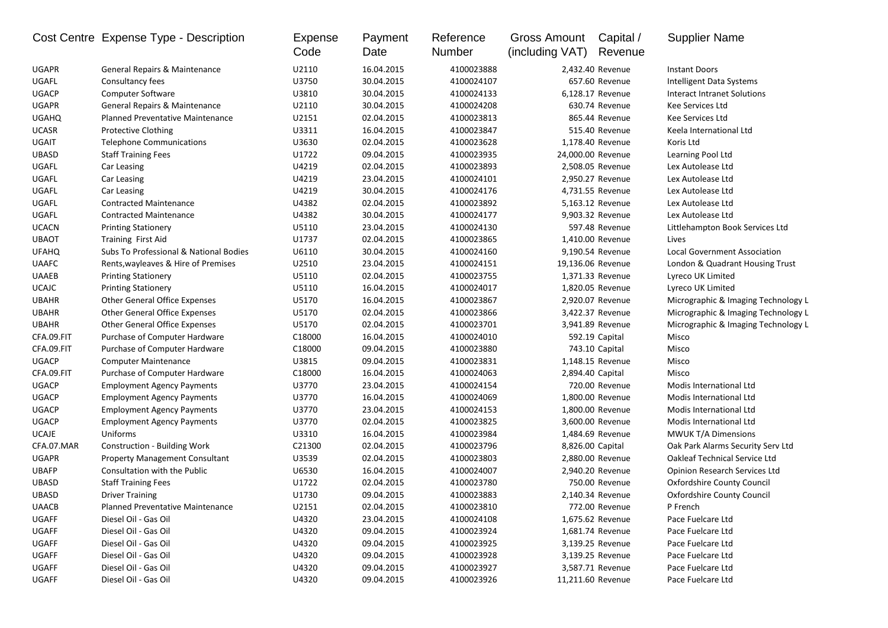|              | Cost Centre Expense Type - Description | Expense<br>Code | Payment<br>Date | Reference<br>Number | <b>Gross Amount</b><br>(including VAT) | Capital /<br>Revenue | <b>Supplier Name</b>                 |
|--------------|----------------------------------------|-----------------|-----------------|---------------------|----------------------------------------|----------------------|--------------------------------------|
| <b>UGAPR</b> | General Repairs & Maintenance          | U2110           | 16.04.2015      | 4100023888          |                                        | 2,432.40 Revenue     | <b>Instant Doors</b>                 |
| UGAFL        | Consultancy fees                       | U3750           | 30.04.2015      | 4100024107          |                                        | 657.60 Revenue       | Intelligent Data Systems             |
| <b>UGACP</b> | <b>Computer Software</b>               | U3810           | 30.04.2015      | 4100024133          |                                        | 6,128.17 Revenue     | Interact Intranet Solutions          |
| <b>UGAPR</b> | General Repairs & Maintenance          | U2110           | 30.04.2015      | 4100024208          |                                        | 630.74 Revenue       | Kee Services Ltd                     |
| <b>UGAHQ</b> | Planned Preventative Maintenance       | U2151           | 02.04.2015      | 4100023813          |                                        | 865.44 Revenue       | Kee Services Ltd                     |
| <b>UCASR</b> | <b>Protective Clothing</b>             | U3311           | 16.04.2015      | 4100023847          |                                        | 515.40 Revenue       | Keela International Ltd              |
| UGAIT        | <b>Telephone Communications</b>        | U3630           | 02.04.2015      | 4100023628          |                                        | 1,178.40 Revenue     | Koris Ltd                            |
| <b>UBASD</b> | <b>Staff Training Fees</b>             | U1722           | 09.04.2015      | 4100023935          |                                        | 24,000.00 Revenue    | Learning Pool Ltd                    |
| UGAFL        | Car Leasing                            | U4219           | 02.04.2015      | 4100023893          |                                        | 2,508.05 Revenue     | Lex Autolease Ltd                    |
| UGAFL        | Car Leasing                            | U4219           | 23.04.2015      | 4100024101          |                                        | 2,950.27 Revenue     | Lex Autolease Ltd                    |
| UGAFL        | Car Leasing                            | U4219           | 30.04.2015      | 4100024176          |                                        | 4,731.55 Revenue     | Lex Autolease Ltd                    |
| UGAFL        | <b>Contracted Maintenance</b>          | U4382           | 02.04.2015      | 4100023892          |                                        | 5,163.12 Revenue     | Lex Autolease Ltd                    |
| UGAFL        | <b>Contracted Maintenance</b>          | U4382           | 30.04.2015      | 4100024177          |                                        | 9,903.32 Revenue     | Lex Autolease Ltd                    |
| <b>UCACN</b> | <b>Printing Stationery</b>             | U5110           | 23.04.2015      | 4100024130          |                                        | 597.48 Revenue       | Littlehampton Book Services Ltd      |
| <b>UBAOT</b> | Training First Aid                     | U1737           | 02.04.2015      | 4100023865          |                                        | 1,410.00 Revenue     | Lives                                |
| <b>UFAHQ</b> | Subs To Professional & National Bodies | U6110           | 30.04.2015      | 4100024160          |                                        | 9,190.54 Revenue     | <b>Local Government Association</b>  |
| <b>UAAFC</b> | Rents, wayleaves & Hire of Premises    | U2510           | 23.04.2015      | 4100024151          |                                        | 19,136.06 Revenue    | London & Quadrant Housing Trust      |
| <b>UAAEB</b> | <b>Printing Stationery</b>             | U5110           | 02.04.2015      | 4100023755          |                                        | 1,371.33 Revenue     | Lyreco UK Limited                    |
| <b>UCAJC</b> | <b>Printing Stationery</b>             | U5110           | 16.04.2015      | 4100024017          |                                        | 1,820.05 Revenue     | Lyreco UK Limited                    |
| <b>UBAHR</b> | <b>Other General Office Expenses</b>   | U5170           | 16.04.2015      | 4100023867          |                                        | 2,920.07 Revenue     | Micrographic & Imaging Technology L  |
| <b>UBAHR</b> | <b>Other General Office Expenses</b>   | U5170           | 02.04.2015      | 4100023866          |                                        | 3,422.37 Revenue     | Micrographic & Imaging Technology L  |
| <b>UBAHR</b> | <b>Other General Office Expenses</b>   | U5170           | 02.04.2015      | 4100023701          |                                        | 3.941.89 Revenue     | Micrographic & Imaging Technology L  |
| CFA.09.FIT   | Purchase of Computer Hardware          | C18000          | 16.04.2015      | 4100024010          |                                        | 592.19 Capital       | Misco                                |
| CFA.09.FIT   | Purchase of Computer Hardware          | C18000          | 09.04.2015      | 4100023880          |                                        | 743.10 Capital       | Misco                                |
| <b>UGACP</b> | <b>Computer Maintenance</b>            | U3815           | 09.04.2015      | 4100023831          |                                        | 1,148.15 Revenue     | Misco                                |
| CFA.09.FIT   | Purchase of Computer Hardware          | C18000          | 16.04.2015      | 4100024063          |                                        | 2,894.40 Capital     | Misco                                |
| <b>UGACP</b> | <b>Employment Agency Payments</b>      | U3770           | 23.04.2015      | 4100024154          |                                        | 720.00 Revenue       | Modis International Ltd              |
| <b>UGACP</b> | <b>Employment Agency Payments</b>      | U3770           | 16.04.2015      | 4100024069          |                                        | 1,800.00 Revenue     | Modis International Ltd              |
| <b>UGACP</b> | <b>Employment Agency Payments</b>      | U3770           | 23.04.2015      | 4100024153          |                                        | 1,800.00 Revenue     | Modis International Ltd              |
| <b>UGACP</b> | <b>Employment Agency Payments</b>      | U3770           | 02.04.2015      | 4100023825          |                                        | 3,600.00 Revenue     | Modis International Ltd              |
| <b>UCAJE</b> | Uniforms                               | U3310           | 16.04.2015      | 4100023984          |                                        | 1,484.69 Revenue     | <b>MWUK T/A Dimensions</b>           |
| CFA.07.MAR   | <b>Construction - Building Work</b>    | C21300          | 02.04.2015      | 4100023796          |                                        | 8,826.00 Capital     | Oak Park Alarms Security Serv Ltd    |
| <b>UGAPR</b> | <b>Property Management Consultant</b>  | U3539           | 02.04.2015      | 4100023803          |                                        | 2,880.00 Revenue     | <b>Oakleaf Technical Service Ltd</b> |
| <b>UBAFP</b> | Consultation with the Public           | U6530           | 16.04.2015      | 4100024007          |                                        | 2,940.20 Revenue     | Opinion Research Services Ltd        |
| <b>UBASD</b> | <b>Staff Training Fees</b>             | U1722           | 02.04.2015      | 4100023780          |                                        | 750.00 Revenue       | Oxfordshire County Council           |
| <b>UBASD</b> | <b>Driver Training</b>                 | U1730           | 09.04.2015      | 4100023883          |                                        | 2,140.34 Revenue     | Oxfordshire County Council           |
| <b>UAACB</b> | Planned Preventative Maintenance       | U2151           | 02.04.2015      | 4100023810          |                                        | 772.00 Revenue       | P French                             |
| UGAFF        | Diesel Oil - Gas Oil                   | U4320           | 23.04.2015      | 4100024108          |                                        | 1,675.62 Revenue     | Pace Fuelcare Ltd                    |
| UGAFF        | Diesel Oil - Gas Oil                   | U4320           | 09.04.2015      | 4100023924          |                                        | 1,681.74 Revenue     | Pace Fuelcare Ltd                    |
| UGAFF        | Diesel Oil - Gas Oil                   | U4320           | 09.04.2015      | 4100023925          |                                        | 3,139.25 Revenue     | Pace Fuelcare Ltd                    |
| UGAFF        | Diesel Oil - Gas Oil                   | U4320           | 09.04.2015      | 4100023928          |                                        | 3,139.25 Revenue     | Pace Fuelcare Ltd                    |
| UGAFF        | Diesel Oil - Gas Oil                   | U4320           | 09.04.2015      | 4100023927          |                                        | 3,587.71 Revenue     | Pace Fuelcare Ltd                    |
| UGAFF        | Diesel Oil - Gas Oil                   | U4320           | 09.04.2015      | 4100023926          |                                        | 11,211.60 Revenue    | Pace Fuelcare Ltd                    |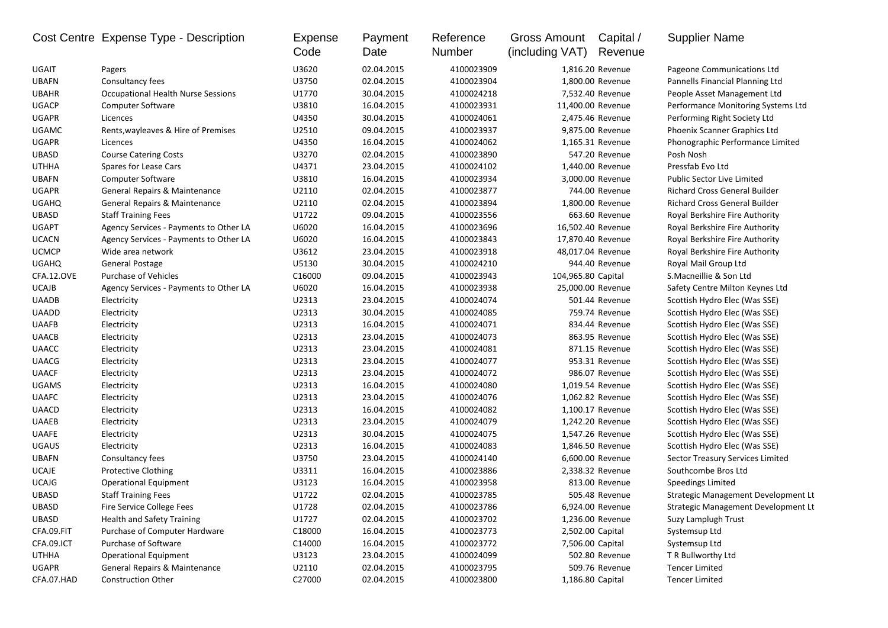|              | Cost Centre Expense Type - Description    | <b>Expense</b><br>Code | Payment<br>Date | Reference<br>Number | <b>Gross Amount</b><br>(including VAT) | Capital /<br>Revenue | <b>Supplier Name</b>                |
|--------------|-------------------------------------------|------------------------|-----------------|---------------------|----------------------------------------|----------------------|-------------------------------------|
| UGAIT        | Pagers                                    | U3620                  | 02.04.2015      | 4100023909          |                                        | 1,816.20 Revenue     | Pageone Communications Ltd          |
| <b>UBAFN</b> | Consultancy fees                          | U3750                  | 02.04.2015      | 4100023904          |                                        | 1,800.00 Revenue     | Pannells Financial Planning Ltd     |
| <b>UBAHR</b> | <b>Occupational Health Nurse Sessions</b> | U1770                  | 30.04.2015      | 4100024218          |                                        | 7,532.40 Revenue     | People Asset Management Ltd         |
| <b>UGACP</b> | <b>Computer Software</b>                  | U3810                  | 16.04.2015      | 4100023931          |                                        | 11,400.00 Revenue    | Performance Monitoring Systems Ltd  |
| <b>UGAPR</b> | Licences                                  | U4350                  | 30.04.2015      | 4100024061          |                                        | 2,475.46 Revenue     | Performing Right Society Ltd        |
| <b>UGAMC</b> | Rents, wayleaves & Hire of Premises       | U2510                  | 09.04.2015      | 4100023937          |                                        | 9,875.00 Revenue     | Phoenix Scanner Graphics Ltd        |
| <b>UGAPR</b> | Licences                                  | U4350                  | 16.04.2015      | 4100024062          |                                        | 1,165.31 Revenue     | Phonographic Performance Limited    |
| <b>UBASD</b> | <b>Course Catering Costs</b>              | U3270                  | 02.04.2015      | 4100023890          |                                        | 547.20 Revenue       | Posh Nosh                           |
| <b>UTHHA</b> | Spares for Lease Cars                     | U4371                  | 23.04.2015      | 4100024102          |                                        | 1,440.00 Revenue     | Pressfab Evo Ltd                    |
| <b>UBAFN</b> | Computer Software                         | U3810                  | 16.04.2015      | 4100023934          |                                        | 3,000.00 Revenue     | <b>Public Sector Live Limited</b>   |
| <b>UGAPR</b> | General Repairs & Maintenance             | U2110                  | 02.04.2015      | 4100023877          |                                        | 744.00 Revenue       | Richard Cross General Builder       |
| <b>UGAHQ</b> | General Repairs & Maintenance             | U2110                  | 02.04.2015      | 4100023894          |                                        | 1,800.00 Revenue     | Richard Cross General Builder       |
| <b>UBASD</b> | <b>Staff Training Fees</b>                | U1722                  | 09.04.2015      | 4100023556          |                                        | 663.60 Revenue       | Royal Berkshire Fire Authority      |
| <b>UGAPT</b> | Agency Services - Payments to Other LA    | U6020                  | 16.04.2015      | 4100023696          |                                        | 16,502.40 Revenue    | Royal Berkshire Fire Authority      |
| <b>UCACN</b> | Agency Services - Payments to Other LA    | U6020                  | 16.04.2015      | 4100023843          |                                        | 17,870.40 Revenue    | Royal Berkshire Fire Authority      |
| <b>UCMCP</b> | Wide area network                         | U3612                  | 23.04.2015      | 4100023918          |                                        | 48,017.04 Revenue    | Royal Berkshire Fire Authority      |
| <b>UGAHQ</b> | <b>General Postage</b>                    | U5130                  | 30.04.2015      | 4100024210          |                                        | 944.40 Revenue       | Royal Mail Group Ltd                |
| CFA.12.OVE   | <b>Purchase of Vehicles</b>               | C16000                 | 09.04.2015      | 4100023943          | 104,965.80 Capital                     |                      | S.Macneillie & Son Ltd              |
| <b>UCAJB</b> | Agency Services - Payments to Other LA    | U6020                  | 16.04.2015      | 4100023938          |                                        | 25,000.00 Revenue    | Safety Centre Milton Keynes Ltd     |
| <b>UAADB</b> | Electricity                               | U2313                  | 23.04.2015      | 4100024074          |                                        | 501.44 Revenue       | Scottish Hydro Elec (Was SSE)       |
| <b>UAADD</b> | Electricity                               | U2313                  | 30.04.2015      | 4100024085          |                                        | 759.74 Revenue       | Scottish Hydro Elec (Was SSE)       |
| <b>UAAFB</b> | Electricity                               | U2313                  | 16.04.2015      | 4100024071          |                                        | 834.44 Revenue       | Scottish Hydro Elec (Was SSE)       |
| <b>UAACB</b> | Electricity                               | U2313                  | 23.04.2015      | 4100024073          |                                        | 863.95 Revenue       | Scottish Hydro Elec (Was SSE)       |
| <b>UAACC</b> | Electricity                               | U2313                  | 23.04.2015      | 4100024081          |                                        | 871.15 Revenue       | Scottish Hydro Elec (Was SSE)       |
| <b>UAACG</b> | Electricity                               | U2313                  | 23.04.2015      | 4100024077          |                                        | 953.31 Revenue       | Scottish Hydro Elec (Was SSE)       |
| <b>UAACF</b> | Electricity                               | U2313                  | 23.04.2015      | 4100024072          |                                        | 986.07 Revenue       | Scottish Hydro Elec (Was SSE)       |
| <b>UGAMS</b> | Electricity                               | U2313                  | 16.04.2015      | 4100024080          |                                        | 1,019.54 Revenue     | Scottish Hydro Elec (Was SSE)       |
| <b>UAAFC</b> | Electricity                               | U2313                  | 23.04.2015      | 4100024076          |                                        | 1,062.82 Revenue     | Scottish Hydro Elec (Was SSE)       |
| <b>UAACD</b> | Electricity                               | U2313                  | 16.04.2015      | 4100024082          |                                        | 1,100.17 Revenue     | Scottish Hydro Elec (Was SSE)       |
| <b>UAAEB</b> | Electricity                               | U2313                  | 23.04.2015      | 4100024079          |                                        | 1,242.20 Revenue     | Scottish Hydro Elec (Was SSE)       |
| UAAFE        | Electricity                               | U2313                  | 30.04.2015      | 4100024075          |                                        | 1,547.26 Revenue     | Scottish Hydro Elec (Was SSE)       |
| <b>UGAUS</b> | Electricity                               | U2313                  | 16.04.2015      | 4100024083          |                                        | 1,846.50 Revenue     | Scottish Hydro Elec (Was SSE)       |
| <b>UBAFN</b> | Consultancy fees                          | U3750                  | 23.04.2015      | 4100024140          |                                        | 6,600.00 Revenue     | Sector Treasury Services Limited    |
| <b>UCAJE</b> | <b>Protective Clothing</b>                | U3311                  | 16.04.2015      | 4100023886          |                                        | 2,338.32 Revenue     | Southcombe Bros Ltd                 |
| <b>UCAJG</b> | <b>Operational Equipment</b>              | U3123                  | 16.04.2015      | 4100023958          |                                        | 813.00 Revenue       | <b>Speedings Limited</b>            |
| <b>UBASD</b> | <b>Staff Training Fees</b>                | U1722                  | 02.04.2015      | 4100023785          |                                        | 505.48 Revenue       | Strategic Management Development Lt |
| UBASD        | Fire Service College Fees                 | U1728                  | 02.04.2015      | 4100023786          |                                        | 6,924.00 Revenue     | Strategic Management Development Lt |
| UBASD        | <b>Health and Safety Training</b>         | U1727                  | 02.04.2015      | 4100023702          |                                        | 1,236.00 Revenue     | Suzy Lamplugh Trust                 |
| CFA.09.FIT   | Purchase of Computer Hardware             | C18000                 | 16.04.2015      | 4100023773          |                                        | 2,502.00 Capital     | Systemsup Ltd                       |
| CFA.09.ICT   | Purchase of Software                      | C14000                 | 16.04.2015      | 4100023772          |                                        | 7,506.00 Capital     | Systemsup Ltd                       |
| <b>UTHHA</b> | <b>Operational Equipment</b>              | U3123                  | 23.04.2015      | 4100024099          |                                        | 502.80 Revenue       | T R Bullworthy Ltd                  |
| UGAPR        | General Repairs & Maintenance             | U2110                  | 02.04.2015      | 4100023795          |                                        | 509.76 Revenue       | <b>Tencer Limited</b>               |
| CFA.07.HAD   | <b>Construction Other</b>                 | C27000                 | 02.04.2015      | 4100023800          |                                        | 1,186.80 Capital     | <b>Tencer Limited</b>               |
|              |                                           |                        |                 |                     |                                        |                      |                                     |